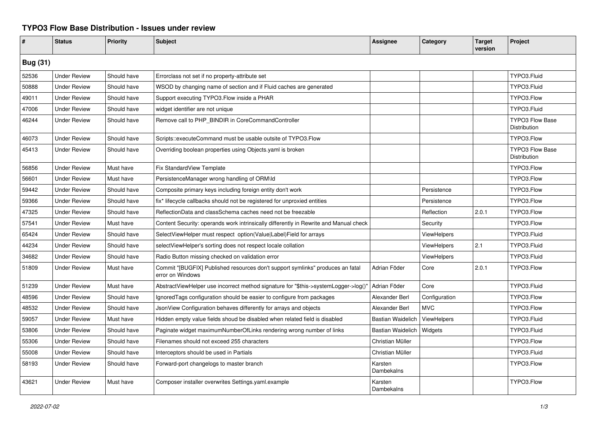## **TYPO3 Flow Base Distribution - Issues under review**

| #               | <b>Status</b>       | Priority    | <b>Subject</b>                                                                                     | <b>Assignee</b>          | Category      | <b>Target</b><br>version | Project                                |
|-----------------|---------------------|-------------|----------------------------------------------------------------------------------------------------|--------------------------|---------------|--------------------------|----------------------------------------|
| <b>Bug (31)</b> |                     |             |                                                                                                    |                          |               |                          |                                        |
| 52536           | <b>Under Review</b> | Should have | Errorclass not set if no property-attribute set                                                    |                          |               |                          | TYPO3.Fluid                            |
| 50888           | <b>Under Review</b> | Should have | WSOD by changing name of section and if Fluid caches are generated                                 |                          |               |                          | TYPO3.Fluid                            |
| 49011           | <b>Under Review</b> | Should have | Support executing TYPO3. Flow inside a PHAR                                                        |                          |               |                          | TYPO3.Flow                             |
| 47006           | <b>Under Review</b> | Should have | widget identifier are not unique                                                                   |                          |               |                          | TYPO3.Fluid                            |
| 46244           | <b>Under Review</b> | Should have | Remove call to PHP_BINDIR in CoreCommandController                                                 |                          |               |                          | TYPO3 Flow Base<br>Distribution        |
| 46073           | <b>Under Review</b> | Should have | Scripts::executeCommand must be usable outsite of TYPO3.Flow                                       |                          |               |                          | TYPO3.Flow                             |
| 45413           | <b>Under Review</b> | Should have | Overriding boolean properties using Objects yaml is broken                                         |                          |               |                          | <b>TYPO3 Flow Base</b><br>Distribution |
| 56856           | <b>Under Review</b> | Must have   | Fix StandardView Template                                                                          |                          |               |                          | TYPO3.Flow                             |
| 56601           | <b>Under Review</b> | Must have   | PersistenceManager wrong handling of ORM\ld                                                        |                          |               |                          | TYPO3.Flow                             |
| 59442           | <b>Under Review</b> | Should have | Composite primary keys including foreign entity don't work                                         |                          | Persistence   |                          | TYPO3.Flow                             |
| 59366           | <b>Under Review</b> | Should have | fix* lifecycle callbacks should not be registered for unproxied entities                           |                          | Persistence   |                          | TYPO3.Flow                             |
| 47325           | <b>Under Review</b> | Should have | ReflectionData and classSchema caches need not be freezable                                        |                          | Reflection    | 2.0.1                    | TYPO3.Flow                             |
| 57541           | <b>Under Review</b> | Must have   | Content Security: operands work intrinsically differently in Rewrite and Manual check              |                          | Security      |                          | TYPO3.Flow                             |
| 65424           | <b>Under Review</b> | Should have | SelectViewHelper must respect option(Value Label)Field for arrays                                  |                          | ViewHelpers   |                          | TYPO3.Fluid                            |
| 44234           | <b>Under Review</b> | Should have | selectViewHelper's sorting does not respect locale collation                                       |                          | ViewHelpers   | 2.1                      | TYPO3.Fluid                            |
| 34682           | <b>Under Review</b> | Should have | Radio Button missing checked on validation error                                                   |                          | ViewHelpers   |                          | TYPO3.Fluid                            |
| 51809           | <b>Under Review</b> | Must have   | Commit "[BUGFIX] Published resources don't support symlinks" produces an fatal<br>error on Windows | Adrian Föder             | Core          | 2.0.1                    | TYPO3.Flow                             |
| 51239           | <b>Under Review</b> | Must have   | AbstractViewHelper use incorrect method signature for "\$this->systemLogger->log()'                | Adrian Föder             | Core          |                          | TYPO3.Fluid                            |
| 48596           | <b>Under Review</b> | Should have | IgnoredTags configuration should be easier to configure from packages                              | Alexander Berl           | Configuration |                          | TYPO3.Flow                             |
| 48532           | <b>Under Review</b> | Should have | JsonView Configuration behaves differently for arrays and objects                                  | Alexander Berl           | <b>MVC</b>    |                          | TYPO3.Flow                             |
| 59057           | <b>Under Review</b> | Must have   | Hidden empty value fields shoud be disabled when related field is disabled                         | <b>Bastian Waidelich</b> | ViewHelpers   |                          | TYPO3.Fluid                            |
| 53806           | <b>Under Review</b> | Should have | Paginate widget maximumNumberOfLinks rendering wrong number of links                               | <b>Bastian Waidelich</b> | Widgets       |                          | TYPO3.Fluid                            |
| 55306           | <b>Under Review</b> | Should have | Filenames should not exceed 255 characters                                                         | Christian Müller         |               |                          | TYPO3.Flow                             |
| 55008           | <b>Under Review</b> | Should have | Interceptors should be used in Partials                                                            | Christian Müller         |               |                          | TYPO3.Fluid                            |
| 58193           | <b>Under Review</b> | Should have | Forward-port changelogs to master branch                                                           | Karsten<br>Dambekalns    |               |                          | TYPO3.Flow                             |
| 43621           | <b>Under Review</b> | Must have   | Composer installer overwrites Settings.yaml.example                                                | Karsten<br>Dambekalns    |               |                          | TYPO3.Flow                             |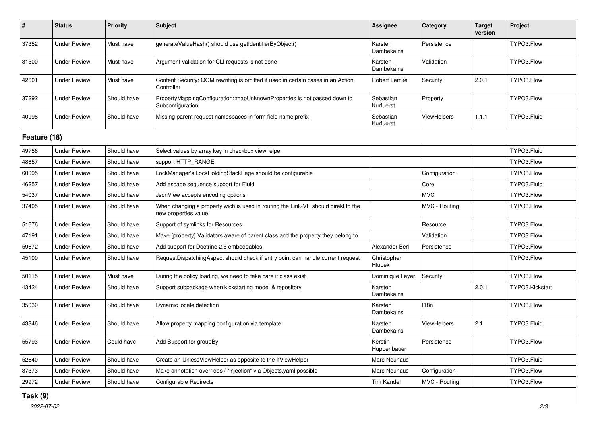| #            | <b>Status</b>       | <b>Priority</b> | <b>Subject</b>                                                                                            | <b>Assignee</b>        | Category           | <b>Target</b><br>version | Project         |  |
|--------------|---------------------|-----------------|-----------------------------------------------------------------------------------------------------------|------------------------|--------------------|--------------------------|-----------------|--|
| 37352        | <b>Under Review</b> | Must have       | generateValueHash() should use getIdentifierByObject()                                                    | Karsten<br>Dambekalns  | Persistence        |                          | TYPO3.Flow      |  |
| 31500        | <b>Under Review</b> | Must have       | Argument validation for CLI requests is not done                                                          | Karsten<br>Dambekalns  | Validation         |                          | TYPO3.Flow      |  |
| 42601        | <b>Under Review</b> | Must have       | Content Security: QOM rewriting is omitted if used in certain cases in an Action<br>Controller            | Robert Lemke           | Security           | 2.0.1                    | TYPO3.Flow      |  |
| 37292        | <b>Under Review</b> | Should have     | PropertyMappingConfiguration::mapUnknownProperties is not passed down to<br>Subconfiguration              | Sebastian<br>Kurfuerst | Property           |                          | TYPO3.Flow      |  |
| 40998        | <b>Under Review</b> | Should have     | Missing parent request namespaces in form field name prefix                                               | Sebastian<br>Kurfuerst | <b>ViewHelpers</b> | 1.1.1                    | TYPO3.Fluid     |  |
| Feature (18) |                     |                 |                                                                                                           |                        |                    |                          |                 |  |
| 49756        | <b>Under Review</b> | Should have     | Select values by array key in checkbox viewhelper                                                         |                        |                    |                          | TYPO3.Fluid     |  |
| 48657        | <b>Under Review</b> | Should have     | support HTTP RANGE                                                                                        |                        |                    |                          | TYPO3.Flow      |  |
| 60095        | <b>Under Review</b> | Should have     | LockManager's LockHoldingStackPage should be configurable                                                 |                        | Configuration      |                          | TYPO3.Flow      |  |
| 46257        | <b>Under Review</b> | Should have     | Add escape sequence support for Fluid                                                                     |                        | Core               |                          | TYPO3.Fluid     |  |
| 54037        | <b>Under Review</b> | Should have     | JsonView accepts encoding options                                                                         |                        | <b>MVC</b>         |                          | TYPO3.Flow      |  |
| 37405        | <b>Under Review</b> | Should have     | When changing a property wich is used in routing the Link-VH should direkt to the<br>new properties value |                        | MVC - Routing      |                          | TYPO3.Flow      |  |
| 51676        | <b>Under Review</b> | Should have     | Support of symlinks for Resources                                                                         |                        | Resource           |                          | TYPO3.Flow      |  |
| 47191        | <b>Under Review</b> | Should have     | Make (property) Validators aware of parent class and the property they belong to                          |                        | Validation         |                          | TYPO3.Flow      |  |
| 59672        | <b>Under Review</b> | Should have     | Add support for Doctrine 2.5 embeddables                                                                  | Alexander Berl         | Persistence        |                          | TYPO3.Flow      |  |
| 45100        | <b>Under Review</b> | Should have     | RequestDispatchingAspect should check if entry point can handle current request                           | Christopher<br>Hlubek  |                    |                          | TYPO3.Flow      |  |
| 50115        | <b>Under Review</b> | Must have       | During the policy loading, we need to take care if class exist                                            | Dominique Feyer        | Security           |                          | TYPO3.Flow      |  |
| 43424        | <b>Under Review</b> | Should have     | Support subpackage when kickstarting model & repository                                                   | Karsten<br>Dambekalns  |                    | 2.0.1                    | TYPO3.Kickstart |  |
| 35030        | <b>Under Review</b> | Should have     | Dynamic locale detection                                                                                  | Karsten<br>Dambekalns  | 118n               |                          | TYPO3.Flow      |  |
| 43346        | <b>Under Review</b> | Should have     | Allow property mapping configuration via template                                                         | Karsten<br>Dambekalns  | <b>ViewHelpers</b> | 2.1                      | TYPO3.Fluid     |  |
| 55793        | <b>Under Review</b> | Could have      | Add Support for groupBy                                                                                   | Kerstin<br>Huppenbauer | Persistence        |                          | TYPO3.Flow      |  |
| 52640        | <b>Under Review</b> | Should have     | Create an UnlessViewHelper as opposite to the IfViewHelper                                                | Marc Neuhaus           |                    |                          | TYPO3.Fluid     |  |
| 37373        | <b>Under Review</b> | Should have     | Make annotation overrides / "injection" via Objects.yaml possible                                         | Marc Neuhaus           | Configuration      |                          | TYPO3.Flow      |  |
| 29972        | <b>Under Review</b> | Should have     | Configurable Redirects                                                                                    | <b>Tim Kandel</b>      | MVC - Routing      |                          | TYPO3.Flow      |  |